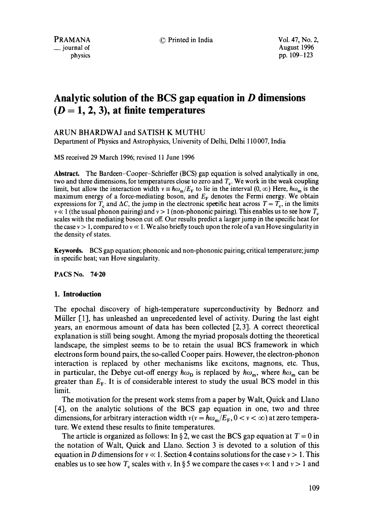PRAMANA **C** Printed in India Vol. 47, No. 2,

**\_\_** journal of August 1996 physics pp. 109-123

# **Analytic solution of the BCS gap equation in D dimensions**   $(D = 1, 2, 3)$ , at finite temperatures

# ARUN BHARDWAJ and SATISH K MUTHU

Department of Physics and Astrophysics, University of Delhi, Delhi 110 007, India

MS received 29 March 1996; revised 11 June 1996

**Abstract.** The Bardeen-Cooper-Schrieffer (BCS) gap equation is solved analytically in one, two and three dimensions, for temperatures close to zero and  $T<sub>c</sub>$ . We work in the weak coupling limit, but allow the interaction width  $v = \hbar \omega_m / E_F$  to lie in the interval  $(0, \infty)$  Here,  $\hbar \omega_m$  is the maximum energy of a force-mediating boson, and  $E_F$  denotes the Fermi energy. We obtain expressions for  $T_c$  and  $\Delta C$ , the jump in the electronic specific heat across  $T = T_c$ , in the limits  $v \ll 1$  (the usual phonon pairing) and  $v > 1$  (non-phononic pairing). This enables us to see how  $T_c$ scales with the mediating boson cut off. Our results predict a larger jump in the specific heat for the case  $v > 1$ , compared to  $v \ll 1$ . We also briefly touch upon the role of a van Hove singularity in the density of states.

**Keywords.** BCS gap equation; phononic and non-phononic pairing; critical temperature; jump in specific heat; van Hove singularity.

PACS No. 74.20

### **1. Introduction**

The epochal discovery of high-temperature superconductivity by Bednorz and Miiller [1], has unleashed an unprecedented level of activity. During the last eight years, an enormous amount of data has been collected [2, 3]. A correct theoretical explanation is still being sought. Among the myriad proposals dotting the theoretical landscape, the simplest seems to be to retain the usual BCS framework in which electrons form bound pairs, the so-called Cooper pairs. However, the electron-phonon interaction is replaced by other mechanisms like excitons, magnons, etc. Thus, in particular, the Debye cut-off energy  $\hbar\omega_{\rm p}$  is replaced by  $\hbar\omega_{\rm m}$ , where  $\hbar\omega_{\rm m}$  can be greater than  $E_F$ . It is of considerable interest to study the usual BCS model in this limit.

The motivation for the present work stems from a paper by Walt, Quick and Llano [4], on the analytic solutions of the BCS gap equation in one, two and three dimensions, for arbitrary interaction width  $v(v = \hbar \omega_m / E_F$ ,  $0 < v < \infty$ ) at zero temperature. We extend these results to finite temperatures.

The article is organized as follows: In §2, we cast the BCS gap equation at  $T = 0$  in the notation of Walt, Quick and Llano. Section 3 is devoted to a solution of this equation in D dimensions for  $v \ll 1$ . Section 4 contains solutions for the case  $v > 1$ . This enables us to see how  $T_c$  scales with v. In §5 we compare the cases  $v \ll 1$  and  $v > 1$  and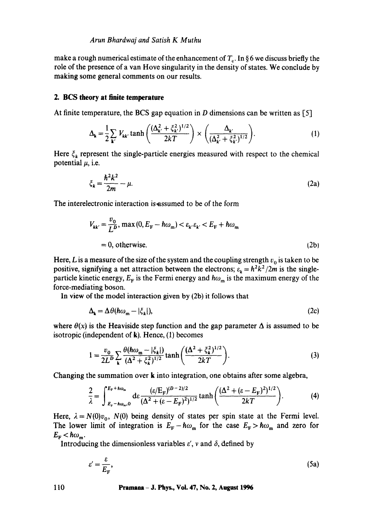### *Arun Bhardwaj and Satish K Muthu*

make a rough numerical estimate of the enhancement of  $T<sub>c</sub>$ . In §6 we discuss briefly the role of the presence of a van Hove singularity in the density of states. We conclude by making some general comments on our results.

## **2. BCS theory at finite temperature**

At finite temperature, the BCS gap equation in D dimensions can be written as  $[5]$ 

$$
\Delta_{\mathbf{k}} = \frac{1}{2} \sum_{\mathbf{k'}} V_{\mathbf{k} \mathbf{k'}} \tanh \left( \frac{(\Delta_{\mathbf{k'}}^2 + \xi_{\mathbf{k'}}^2)^{1/2}}{2kT} \right) \times \left( \frac{\Delta_{\mathbf{k'}}}{(\Delta_{\mathbf{k'}}^2 + \xi_{\mathbf{k'}}^2)^{1/2}} \right).
$$
 (1)

Here  $\zeta_k$  represent the single-particle energies measured with respect to the chemical potential  $\mu$ , i.e.

$$
\xi_k = \frac{\hbar^2 k^2}{2m} - \mu.
$$
 (2a)

The interelectronic interaction is assumed to be of the form

$$
V_{kk'} = \frac{v_0}{L^D}, \max(0, E_F - \hbar\omega_m) < \varepsilon_{k'}\varepsilon_{k'} < E_F + \hbar\omega_m
$$
\n
$$
= 0, \text{ otherwise.} \tag{2b}
$$

Here, L is a measure of the size of the system and the coupling strength  $v_0$  is taken to be positive, signifying a net attraction between the electrons;  $\varepsilon_k = \hbar^2 k^2 / 2m$  is the singleparticle kinetic energy,  $E_F$  is the Fermi energy and  $\hbar\omega_m$  is the maximum energy of the force-mediating boson.

In view of the model interaction given by (2b) it follows that

$$
\Delta_{\mathbf{k}} = \Delta \theta(\hbar \omega_{\mathbf{m}} - |\xi_{\mathbf{k}}|),\tag{2c}
$$

where  $\theta(x)$  is the Heaviside step function and the gap parameter  $\Delta$  is assumed to be isotropic (independent of  $k$ ). Hence, (1) becomes

$$
1 = \frac{v_0}{2L^D} \sum_{\mathbf{k}} \frac{\theta(\hbar \omega_{\mathbf{m}} - |\xi_{\mathbf{k}}|)}{(\Delta^2 + \xi_{\mathbf{k}}^2)^{1/2}} \tanh\left(\frac{(\Delta^2 + \xi_{\mathbf{k}}^2)^{1/2}}{2kT}\right).
$$
 (3)

Changing the summation over k into integration, one obtains after some algebra,

$$
\frac{2}{\lambda} = \int_{E_{\rm F} - \hbar \omega_{\rm m}, 0}^{E_{\rm F} + \hbar \omega_{\rm m}} d\varepsilon \frac{(\varepsilon/E_{\rm F})^{(D-2)/2}}{(\Delta^2 + (\varepsilon - E_{\rm F})^2)^{1/2}} \tanh\left(\frac{(\Delta^2 + (\varepsilon - E_{\rm F})^2)^{1/2}}{2kT}\right).
$$
 (4)

Here,  $\lambda = N(0)v_0$ ,  $N(0)$  being density of states per spin state at the Fermi level. The lower limit of integration is  $E_F - \hbar \omega_m$  for the case  $E_F > \hbar \omega_m$  and zero for  $E_{\rm F}$  <  $\hbar\omega_{\rm m}$ .

Introducing the dimensionless variables  $\varepsilon'$ , v and  $\delta$ , defined by

$$
\varepsilon' = \frac{\varepsilon}{E_{\rm F}},\tag{5a}
$$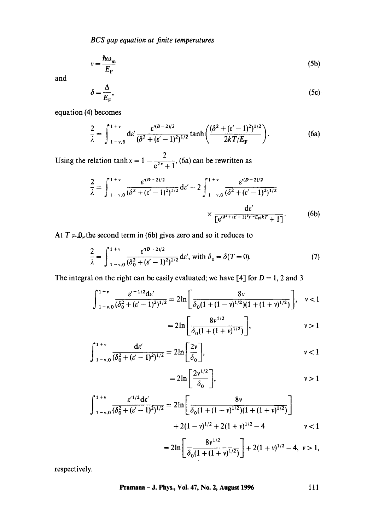$$
v = \frac{\hbar \omega_{\rm m}}{E_{\rm F}}\tag{5b}
$$

and

$$
\delta = \frac{\Delta}{E_{\rm F}},\tag{5c}
$$

equation (4) becomes

$$
\frac{2}{\lambda} = \int_{1-v,0}^{1+v} d\varepsilon' \frac{\varepsilon'^{(D-2)/2}}{(\delta^2 + (\varepsilon'-1)^2)^{1/2}} \tanh\left(\frac{(\delta^2 + (\varepsilon'-1)^2)^{1/2}}{2kT/E_F}\right).
$$
 (6a)

Using the relation tanh  $x = 1 - \frac{2}{\sigma^2}$ , (6a) can be rewritten as

$$
\frac{2}{\lambda} = \int_{1-v.0}^{1+v} \frac{\varepsilon'^{(D-2)/2}}{(\delta^2 + (\varepsilon' - 1)^2)^{1/2}} d\varepsilon' - 2 \int_{1-v.0}^{1+v} \frac{\varepsilon'^{(D-2)/2}}{(\delta^2 + (\varepsilon' - 1)^2)^{1/2}} \times \frac{d\varepsilon'}{\left[e^{(\delta^2 + (\varepsilon' - 1)^2)^{1/2} E_r/kT} + 1\right]}.
$$
(6b)

At  $T = 0$ , the second term in (6b) gives zero and so it reduces to

$$
\frac{2}{\lambda} = \int_{1-v,0}^{1+v} \frac{\varepsilon^{(D-2)/2}}{(\delta_0^2 + (\varepsilon' - 1)^2)^{1/2}} \, \mathrm{d}\varepsilon', \text{ with } \delta_0 = \delta(T = 0). \tag{7}
$$

The integral on the right can be easily evaluated; we have [4] for  $D = 1$ , 2 and 3

$$
\int_{1-v,0}^{1+v} \frac{\varepsilon'^{-1/2} d\varepsilon'}{(\delta_0^2 + (\varepsilon' - 1)^2)^{1/2}} = 2\ln\left[\frac{8v}{\delta_0(1 + (1-v)^{1/2})(1 + (1+v)^{1/2})}\right], \quad v < 1
$$

$$
=2\ln\left[\frac{8v^{1/2}}{\delta_0(1+(1+v)^{1/2})}\right],\qquad v>1
$$

$$
\int_{1-v,0}^{1+v} \frac{d\varepsilon'}{(\delta_0^2 + (\varepsilon' - 1)^2)^{1/2}} = 2\ln\left[\frac{2v}{\delta_0}\right], \qquad v < 1
$$

$$
=2\ln\left[\frac{2v^{1/2}}{\delta_0}\right],\qquad v>1
$$

$$
\int_{1-v,0}^{1+v} \frac{\varepsilon'^{1/2} d\varepsilon'}{(\delta_0^2 + (\varepsilon' - 1)^2)^{1/2}} = 2\ln\left[\frac{8v}{\delta_0(1 + (1-v)^{1/2})(1 + (1+v)^{1/2})}\right] + 2(1-v)^{1/2} + 2(1+v)^{1/2} - 4 \qquad v < 1
$$

$$
=2\ln\left[\frac{8v^{1/2}}{\delta_0(1+(1+v)^{1/2})}\right]+2(1+v)^{1/2}-4,\ v>1,
$$

respectively.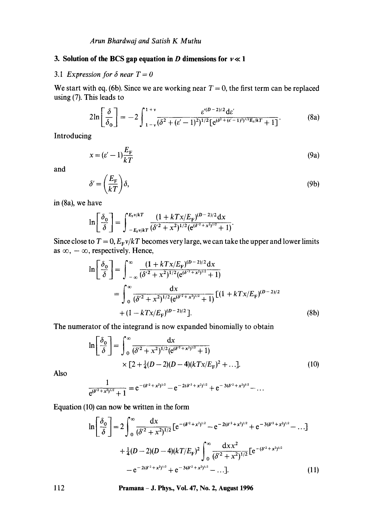# **3. Solution of the BCS gap equation in D dimensions for**  $v \ll 1$

# 3.1 Expression for  $\delta$  near  $T = 0$

We start with eq. (6b). Since we are working near  $T = 0$ , the first term can be replaced using (7). This leads to

$$
2\ln\left[\frac{\delta}{\delta_0}\right] = -2\int_{1-\nu}^{1+\nu} \frac{\varepsilon'^{(D-2)/2} \mathrm{d}\varepsilon'}{(\delta^2 + (\varepsilon'-1)^2)^{1/2} \left[\mathrm{e}^{(\delta^2 + (\varepsilon'-1)^2)^{1/2} E_r/kT} + 1\right]}.\tag{8a}
$$

Introducing

$$
x = (e' - 1)\frac{E_F}{kT}
$$
 (9a)

and

$$
\delta' = \left(\frac{E_{\rm F}}{kT}\right)\delta,\tag{9b}
$$

in (8a), we have

$$
\ln\left[\frac{\delta_0}{\delta}\right] = \int_{-E_{\rm F}v/kT}^{E_{\rm F}v/kT} \frac{(1 + kT x/E_{\rm F})^{(D-2)/2} dx}{(\delta'^2 + x^2)^{1/2} (e^{(\delta'^2 + x^2)^{1/2}} + 1)}.
$$

Since close to  $T = 0$ ,  $E_F v/kT$  becomes very large, we can take the upper and lower limits as  $\infty$ ,  $-\infty$ , respectively. Hence,

$$
\ln\left[\frac{\delta_0}{\delta}\right] = \int_{-\infty}^{\infty} \frac{(1 + kTx/E_F)^{(D-2)/2} dx}{(\delta'^2 + x^2)^{1/2} (e^{(\delta'^2 + x^2)^{1/2}} + 1)}
$$
  
= 
$$
\int_{0}^{\infty} \frac{dx}{(\delta'^2 + x^2)^{1/2} (e^{(\delta'^2 + x^2)^{1/2}} + 1)} \left[ (1 + kTx/E_F)^{(D-2)/2} + (1 - kTx/E_F)^{(D-2)/2} \right].
$$
 (8b)

The numerator of the integrand is now expanded binomially to obtain

$$
\ln\left[\frac{\delta_0}{\delta}\right] = \int_0^\infty \frac{dx}{(\delta'^2 + x^2)^{1/2} (e^{(\delta'^2 + x^2)^{1/2}} + 1)} \times [2 + \frac{1}{4}(D - 2)(D - 4)(kTx/E_F)^2 + ...].
$$
\n(10)

Also

$$
\frac{1}{e^{(\delta^2+x^2)^{1/2}}+1}=e^{-(\delta^2+x^2)^{1/2}}-e^{-2(\delta^2+x^2)^{1/2}}+e^{-3(\delta^2+x^2)^{1/2}}-\ldots
$$

Equation (10) can now be written in the form

$$
\ln\left[\frac{\delta_0}{\delta}\right] = 2\int_0^\infty \frac{dx}{(\delta'^2 + x^2)^{1/2}} \left[e^{-(\delta'^2 + x^2)^{1/2}} - e^{-2(\delta'^2 + x^2)^{1/2}} + e^{-3(\delta'^2 + x^2)^{1/2}} - \dots\right]
$$

$$
+ \frac{1}{4}(D - 2)(D - 4)(kT/E_F)^2 \int_0^\infty \frac{dx x^2}{(\delta'^2 + x^2)^{1/2}} \left[e^{-(\delta'^2 + x^2)^{1/2}} - e^{-2(\delta'^2 + x^2)^{1/2}} + e^{-3(\delta'^2 + x^2)^{1/2}} - \dots\right].
$$
(11)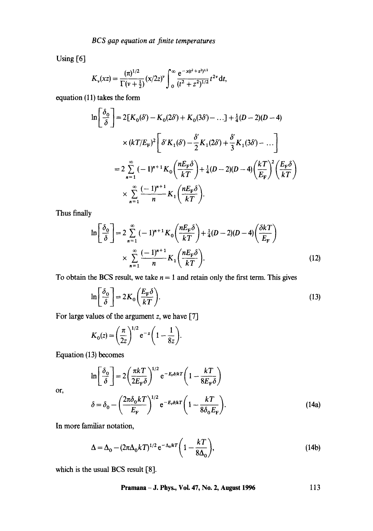Using [6]

$$
K_{\nu}(xz) = \frac{(\pi)^{1/2}}{\Gamma(\nu+\frac{1}{2})} (x/2z)^{\nu} \int_{0}^{\infty} \frac{e^{-x(t^2+z^2)^{1/2}}}{(t^2+z^2)^{1/2}} t^{2\nu} dt,
$$

equation **(11)** takes the form

$$
\ln\left[\frac{\delta_0}{\delta}\right] = 2[K_0(\delta') - K_0(2\delta') + K_0(3\delta') - \dots] + \frac{1}{4}(D-2)(D-4)
$$
  
 
$$
\times (kT/E_F)^2 \left[\delta' K_1(\delta') - \frac{\delta'}{2} K_1(2\delta') + \frac{\delta'}{3} K_1(3\delta') - \dots\right]
$$
  

$$
= 2\sum_{n=1}^{\infty} (-1)^{n+1} K_0 \left(\frac{nE_F\delta}{kT}\right) + \frac{1}{4}(D-2)(D-4)\left(\frac{kT}{E_F}\right)^2 \left(\frac{E_F\delta}{kT}\right)
$$
  

$$
\times \sum_{n=1}^{\infty} \frac{(-1)^{n+1}}{n} K_1 \left(\frac{nE_F\delta}{kT}\right).
$$

Thus finally

$$
\ln\left[\frac{\delta_0}{\delta}\right] = 2\sum_{n=1}^{\infty}(-1)^{n+1}K_0\left(\frac{nE_{\rm F}\delta}{kT}\right) + \frac{1}{4}(D-2)(D-4)\left(\frac{\delta kT}{E_{\rm F}}\right)
$$

$$
\times \sum_{n=1}^{\infty}\frac{(-1)^{n+1}}{n}K_1\left(\frac{nE_{\rm F}\delta}{kT}\right). \tag{12}
$$

To obtain the BCS result, we take  $n = 1$  and retain only the first term. This gives

$$
\ln\left[\frac{\delta_0}{\delta}\right] = 2K_0\left(\frac{E_{\rm F}\delta}{kT}\right). \tag{13}
$$

For large values of the argument  $z$ , we have [7]

$$
K_0(z) = \left(\frac{\pi}{2z}\right)^{1/2} e^{-z} \left(1 - \frac{1}{8z}\right).
$$

Equation (13) becomes

or,

$$
\ln\left[\frac{\delta_0}{\delta}\right] = 2\left(\frac{\pi k T}{2E_{\rm F}\delta}\right)^{1/2} e^{-E_{\rm F}\delta/kT} \left(1 - \frac{kT}{8E_{\rm F}\delta}\right)
$$

$$
\delta = \delta_0 - \left(\frac{2\pi \delta_0 k T}{E_{\rm F}}\right)^{1/2} e^{-E_{\rm F}\delta/kT} \left(1 - \frac{kT}{8\delta_0 E_{\rm F}}\right). \tag{14a}
$$

In more familiar notation,

$$
\Delta = \Delta_0 - (2\pi\Delta_0 kT)^{1/2} e^{-\Delta_0/kT} \bigg(1 - \frac{kT}{8\Delta_0}\bigg),\tag{14b}
$$

which is the usual BCS result  $[8]$ .

**Pramana - J. Phys., Vol. 47, No. 2, August 1996**  113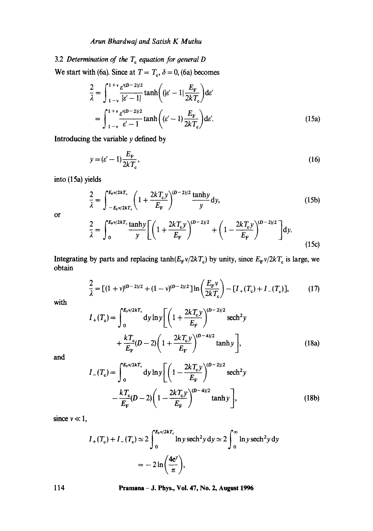# *Arun Bhardwaj and Satish K Muthu*

# 3.2 *Determination of the*  $T_c$  *equation for general D*

We start with (6a). Since at  $T = T_c$ ,  $\delta = 0$ , (6a) becomes

$$
\frac{2}{\lambda} = \int_{1-v}^{1+v} \frac{\varepsilon'^{(D-2)/2}}{|\varepsilon'-1|} \tanh((|\varepsilon'-1| \frac{E_{\rm F}}{2kT_{\rm c}})) d\varepsilon'
$$

$$
= \int_{1-v}^{1+v} \frac{\varepsilon'^{(D-2)/2}}{\varepsilon'-1} \tanh((\varepsilon'-1) \frac{E_{\rm F}}{2kT_{\rm c}}) d\varepsilon'. \tag{15a}
$$

Introducing the variable  $y$  defined by

$$
y = (\varepsilon' - 1) \frac{E_{\rm F}}{2kT_{\rm c}},\tag{16}
$$

into (15a) yields

$$
\frac{2}{\lambda} = \int_{-E_{\mathbf{r}}v/2kT_{\mathbf{c}}}^{E_{\mathbf{r}}v/2kT_{\mathbf{c}}} \left(1 + \frac{2kT_{\mathbf{c}}y}{E_{\mathbf{F}}}\right)^{(D-2)/2} \frac{\tanh y}{y} \, \mathrm{d}y,\tag{15b}
$$

Or

$$
\frac{2}{\lambda} = \int_0^{E_{\rm F}v/2kT_{\rm c}} \frac{\tanh y}{y} \left[ \left( 1 + \frac{2kT_{\rm c}y}{E_{\rm F}} \right)^{(D-2)/2} + \left( 1 - \frac{2kT_{\rm c}y}{E_{\rm F}} \right)^{(D-2)/2} \right] dy.
$$
\n(15c)

Integrating by parts and replacing  $tanh(E_Fv/2kT_c)$  by unity, since  $E_Fv/2kT_c$  is large, we obtain

$$
\frac{2}{\lambda} = [(1+\nu)^{(D-2)/2} + (1-\nu)^{(D-2)/2}] \ln \left( \frac{E_{\rm F} \nu}{2kT_{\rm c}} \right) - [I_{+}(T_{\rm c}) + I_{-}(T_{\rm c})],\tag{17}
$$

with

$$
I_{+}(T_{c}) = \int_{0}^{E_{r}v/2kT_{c}} dy \ln y \left[ \left( 1 + \frac{2kT_{c}y}{E_{F}} \right)^{(D-2)/2} \text{sech}^{2} y + \frac{kT_{c}}{E_{F}} (D-2) \left( 1 + \frac{2kT_{c}y}{E_{F}} \right)^{(D-4)/2} \tanh y \right],
$$
\n(18a)

and

$$
I_{-}(T_{c}) = \int_{0}^{E_{r}v/2kT_{c}} dy \ln y \left[ \left( 1 - \frac{2kT_{c}y}{E_{F}} \right)^{(D-2)/2} \text{sech}^{2} y - \frac{kT_{c}}{E_{F}} (D-2) \left( 1 - \frac{2kT_{c}y}{E_{F}} \right)^{(D-4)/2} \tanh y \right],
$$
\n(18b)

since  $v \ll 1$ ,

$$
I_{+}(T_{c}) + I_{-}(T_{c}) \simeq 2 \int_{0}^{E_{v}v/2kT_{c}} \ln y \operatorname{sech}^{2} y \, dy \simeq 2 \int_{0}^{\infty} \ln y \operatorname{sech}^{2} y \, dy
$$
  
=  $- 2 \ln \left( \frac{4e^{y}}{\pi} \right),$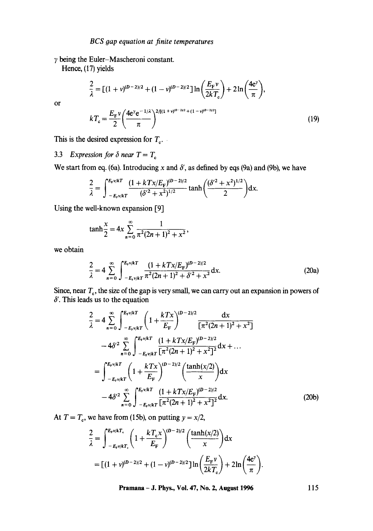## *BCS gap equation at finite temperatures*

 $\gamma$  being the Euler-Mascheroni constant.

Hence, (17) yields

or

$$
\frac{2}{\lambda} = \left[ (1 + v)^{(D-2)/2} + (1 - v)^{(D-2)/2} \right] \ln \left( \frac{E_{\rm F} v}{2kT_{\rm c}} \right) + 2 \ln \left( \frac{4e^{\gamma}}{\pi} \right),
$$
  

$$
kT_{\rm c} = \frac{E_{\rm F} v}{2} \left( \frac{4e^{\gamma} e^{-1/\lambda}}{\pi} \right)^{2/[(1 + v)^{(D-2)/2} + (1 - v)^{(D-2)/2}]}
$$
(19)

This is the desired expression for  $T_c$ .

3.3 *Expression for*  $\delta$  *near*  $T = T_c$ 

We start from eq. (6a). Introducing x and  $\delta'$ , as defined by eqs (9a) and (9b), we have

$$
\frac{2}{\lambda} = \int_{-E_{\rm F}v/kT}^{E_{\rm F}v/kT} \frac{(1 + kT x/E_{\rm F})^{(D-2)/2}}{(\delta'^2 + x^2)^{1/2}} \tanh\left(\frac{(\delta'^2 + x^2)^{1/2}}{2}\right) dx.
$$

Using the well-known expansion [9]

$$
\tanh\frac{x}{2} = 4x \sum_{n=0}^{\infty} \frac{1}{\pi^2 (2n+1)^2 + x^2},
$$

we obtain

$$
\frac{2}{\lambda} = 4 \sum_{n=0}^{\infty} \int_{-E_{\rm t}v/kT}^{E_{\rm t}v/kT} \frac{(1 + kTx/E_{\rm F})^{(D-2)/2}}{\pi^2 (2n+1)^2 + \delta'^2 + x^2} \, \mathrm{d}x. \tag{20a}
$$

Since, near  $T_c$ , the size of the gap is very small, we can carry out an expansion in powers of  $\delta'$ . This leads us to the equation

$$
\frac{2}{\lambda} = 4 \sum_{n=0}^{\infty} \int_{-E_{\rm F}v/kT}^{E_{\rm F}v/kT} \left( 1 + \frac{kTx}{E_{\rm F}} \right)^{(D-2)/2} \frac{\mathrm{d}x}{\left[ \pi^2 (2n+1)^2 + x^2 \right]}
$$

$$
- 4\delta'^2 \sum_{n=0}^{\infty} \int_{-E_{\rm F}v/kT}^{E_{\rm F}v/kT} \frac{(1 + kTx/E_{\rm F})^{(D-2)/2}}{\left[ \pi^2 (2n+1)^2 + x^2 \right]^2} \mathrm{d}x + \dots
$$

$$
= \int_{-E_{\rm F}v/kT}^{E_{\rm F}v/kT} \left( 1 + \frac{kTx}{E_{\rm F}} \right)^{(D-2)/2} \left( \frac{\tanh(x/2)}{x} \right) \mathrm{d}x
$$

$$
- 4\delta'^2 \sum_{n=0}^{\infty} \int_{-E_{\rm F}v/kT}^{E_{\rm F}v/kT} \frac{(1 + kTx/E_{\rm F})^{(D-2)/2}}{\left[ \pi^2 (2n+1)^2 + x^2 \right]^2} \mathrm{d}x. \tag{20b}
$$

At  $T = T_c$ , we have from (15b), on putting  $y = x/2$ ,

$$
\frac{2}{\lambda} = \int_{-E_{\rm F}v/kT_{\rm c}}^{E_{\rm F}v/kT_{\rm c}} \left(1 + \frac{kT_{\rm c}x}{E_{\rm F}}\right)^{(D-2)/2} \left(\frac{\tanh(x/2)}{x}\right) dx
$$

$$
= [(1+v)^{(D-2)/2} + (1-v)^{(D-2)/2}] \ln\left(\frac{E_{\rm F}v}{2kT_{\rm c}}\right) + 2\ln\left(\frac{4e^v}{\pi}\right).
$$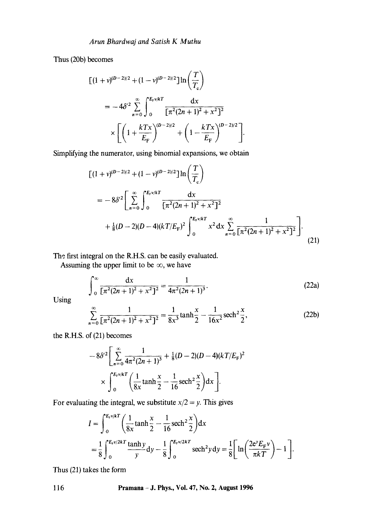Thus (20b) becomes

$$
\begin{split} \left[ (1+v)^{(D-2)/2} + (1-v)^{(D-2)/2} \right] & \ln \left( \frac{T}{T_c} \right) \\ & = -4\delta'^2 \sum_{n=0}^{\infty} \int_0^{E_{\rm F}/kT} \frac{\mathrm{d}x}{\left[ \pi^2 (2n+1)^2 + x^2 \right]^2} \\ & \times \left[ \left( 1 + \frac{kTx}{E_{\rm F}} \right)^{(D-2)/2} + \left( 1 - \frac{kTx}{E_{\rm F}} \right)^{(D-2)/2} \right]. \end{split}
$$

Simplifying the numerator, using binomial expansions, we obtain

$$
[(1 + v)^{(D-2)/2} + (1 - v)^{(D-2)/2}] \ln \left(\frac{T}{T_c}\right)
$$
  
=  $-8\delta'^2 \left[\sum_{n=0}^{\infty} \int_0^{E_r v/kT} \frac{dx}{[\pi^2 (2n+1)^2 + x^2]^2} + \frac{1}{8}(D-2)(D-4)(kT/E_F)^2 \int_0^{E_r v/kT} x^2 dx \sum_{n=0}^{\infty} \frac{1}{[\pi^2 (2n+1)^2 + x^2]^2}\right].$  (21)

The first integral on the R.H.S. can be easily evaluated.

Assuming the upper limit to be  $\infty$ , we have

$$
\int_0^\infty \frac{\mathrm{d}x}{\left[\pi^2 (2n+1)^2 + x^2\right]^2} = \frac{1}{4\pi^2 (2n+1)^3}.
$$
 (22a)

Using

$$
\sum_{n=0}^{\infty} \frac{1}{\left[\pi^2 (2n+1)^2 + x^2\right]^2} = \frac{1}{8x^3} \tanh\frac{x}{2} - \frac{1}{16x^2} \operatorname{sech}^2\frac{x}{2},\tag{22b}
$$

the R.H.S. of  $(21)$  becomes

$$
-8\delta'^2 \left[ \sum_{n=0}^{\infty} \frac{1}{4\pi^2 (2n+1)^3} + \frac{1}{8} (D-2)(D-4)(kT/E_{\rm F})^2 \right]
$$

$$
\times \int_0^{E_{\rm F}v/kT} \left( \frac{1}{8x} \tanh \frac{x}{2} - \frac{1}{16} \operatorname{sech}^2 \frac{x}{2} \right) dx \Bigg].
$$

For evaluating the integral, we substitute  $x/2 = y$ . This gives

$$
I = \int_0^{E_v v/kT} \left( \frac{1}{8x} \tanh \frac{x}{2} - \frac{1}{16} \operatorname{sech}^2 \frac{x}{2} \right) dx
$$
  
=  $\frac{1}{8} \int_0^{E_v v/2kT} \frac{\tanh y}{y} dy - \frac{1}{8} \int_0^{E_v v/2kT} \operatorname{sech}^2 y dy = \frac{1}{8} \left[ \ln \left( \frac{2e^{\gamma} E_{\mathbf{F}} v}{\pi kT} \right) - 1 \right].$ 

Thus (21) takes the form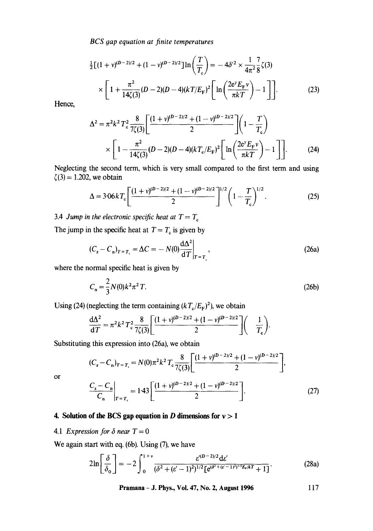**BCS** gap equation at finite temperatures

$$
\frac{1}{2}\left[(1+v)^{(D-2)/2} + (1-v)^{(D-2)/2}\right] \ln\left(\frac{T}{T_c}\right) = -4\delta'^2 \times \frac{1}{4\pi^2} \frac{7}{8} \zeta(3)
$$

$$
\times \left[1 + \frac{\pi^2}{14\zeta(3)} (D-2)(D-4)(kT/E_F)^2 \left[\ln\left(\frac{2e^{\gamma}E_F\nu}{\pi kT}\right) - 1\right]\right].
$$
 (23)

Hence,

$$
\Delta^{2} = \pi^{2} k^{2} T_{c}^{2} \frac{8}{7\zeta(3)} \left[ \frac{(1 + v)^{(D-2)/2} + (1 - v)^{(D-2)/2}}{2} \right] \left( 1 - \frac{T}{T_{c}} \right)
$$
  
 
$$
\times \left[ 1 - \frac{\pi^{2}}{14\zeta(3)} (D-2)(D-4)(kT_{c}/E_{F})^{2} \left[ \ln \left( \frac{2e^{\gamma} E_{F} \nu}{\pi k T} \right) - 1 \right] \right].
$$
 (24)

Neglecting the second term, which is very small compared to the first term and using  $\zeta(3) = 1.202$ , we obtain

$$
\Delta = 3.06 k T_c \left[ \frac{(1+v)^{(D-2)/2} + (1-v)^{(D-2)/2}}{2} \right]^{1/2} \left( 1 - \frac{T}{T_c} \right)^{1/2}.
$$
 (25)

3.4 *Jump in the electronic specific heat at*  $T = T_e$ 

The jump in the specific heat at  $T = T_c$  is given by

$$
(C_s - C_n)_{T = T_c} = \Delta C = -N(0) \frac{d\Delta^2}{dT} \bigg|_{T = T_c},
$$
\n(26a)

where the normal specific heat is given by

$$
C_n = \frac{2}{3}N(0)k^2\pi^2 T.
$$
 (26b)

Using (24) (neglecting the term containing  $(kT_c/E_F)^2$ ), we obtain

$$
\frac{d\Delta^2}{dT} = \pi^2 k^2 T_c^2 \frac{8}{7\zeta(3)} \left[ \frac{(1+v)^{(D-2)/2} + (1-v)^{(D-2)/2}}{2} \right] \left( \frac{1}{T_c} \right).
$$

Substituting this expression into (26a), we obtain

$$
(C_s - C_n)_{T=T_c} = N(0)\pi^2 k^2 T_c \frac{8}{7\zeta(3)} \left[ \frac{(1+v)^{(D-2)/2} + (1-v)^{(D-2)/2}}{2} \right],
$$
  

$$
\left. \frac{C_s - C_n}{C_n} \right|_{T=T_c} = 1.43 \left[ \frac{(1+v)^{(D-2)/2} + (1-v)^{(D-2)/2}}{2} \right].
$$
 (27)

# **4. Solution of the BCS gap equation in D dimensions for**  $v > 1$

4.1 *Expression for*  $\delta$  *near*  $T = 0$ 

or

We again start with eq. (6b). Using (7), we have

$$
2\ln\left[\frac{\delta}{\delta_0}\right] = -2\int_0^{1+v} \frac{\varepsilon'^{(D-2)/2} d\varepsilon'}{(\delta^2 + (\varepsilon'-1)^2)^{1/2} \left[e^{(\delta^2 + (\varepsilon'-1)^2)^{1/2} E_r/kT} + 1\right]}.
$$
 (28a)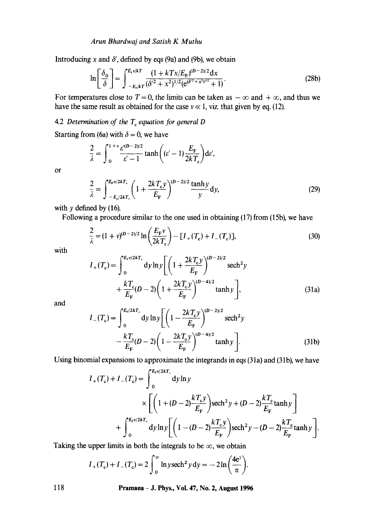### *Arun Bhardwaj and Satish K Muthu*

Introducing x and  $\delta'$ , defined by eqs (9a) and (9b), we obtain

$$
\ln\left[\frac{\delta_0}{\delta}\right] = \int_{-E_t/kT}^{E_t v/kT} \frac{(1 + kTx/E_F)^{(D-2)/2}dx}{(\delta'^2 + x^2)^{1/2}(e^{(\delta'^2 + x^2)^{1/2}} + 1)}.
$$
(28b)

For temperatures close to  $T = 0$ , the limits can be taken as  $-\infty$  and  $+\infty$ , and thus we have the same result as obtained for the case  $v \ll 1$ , viz. that given by eq. (12).

# 4.2 *Determination of the T<sub>c</sub> equation for general D*

Starting from (6a) with  $\delta = 0$ , we have

$$
\frac{2}{\lambda} = \int_0^{1+v} \frac{\varepsilon^{(D-2)/2}}{\varepsilon' - 1} \tanh\left((\varepsilon' - 1)\frac{E_{\rm F}}{2kT_{\rm c}}\right) \mathrm{d}\varepsilon',
$$

or

$$
\frac{2}{\lambda} = \int_{-E_{\rm r}/2kT_{\rm c}}^{E_{\rm r}v/2kT_{\rm c}} \left(1 + \frac{2kT_{\rm c}y}{E_{\rm F}}\right)^{(D-2)/2} \frac{\tanh y}{y} \, \mathrm{d}y,\tag{29}
$$

with  $y$  defined by (16).

Following a procedure similar to the one used in obtaining (17) from (15b), we have

$$
\frac{2}{\lambda} = (1 + \nu)^{(D-2)/2} \ln \left( \frac{E_{\rm F} \nu}{2kT_{\rm c}} \right) - [I_{+}(T_{\rm c}) + I_{-}(T_{\rm c})],\tag{30}
$$

with

$$
I_{+}(T_{c}) = \int_{0}^{E_{v}/2kT_{c}} dy \ln y \left[ \left( 1 + \frac{2kT_{c}y}{E_{F}} \right)^{(D-2)/2} \text{sech}^{2} y + \frac{kT_{c}}{E_{F}} (D-2) \left( 1 + \frac{2kT_{c}y}{E_{F}} \right)^{(D-4)/2} \tanh y \right],
$$
\n(31a)

and

$$
I_{-}(T_{c}) = \int_{0}^{E_{r}/2kT_{c}} dy \ln y \left[ \left( 1 - \frac{2kT_{c}y}{E_{F}} \right)^{(D-2)/2} \text{sech}^{2} y - \frac{kT_{c}}{E_{F}} (D-2) \left( 1 - \frac{2kT_{c}y}{E_{F}} \right)^{(D-4)/2} \tanh y \right].
$$
 (31b)

Using binomial expansions to approximate the integrands in eqs (31a) and (31b), we have

$$
I_{+}(T_{c}) + I_{-}(T_{c}) = \int_{0}^{E_{F}v/2kT_{c}} dy \ln y
$$
  
 
$$
\times \left[ \left( 1 + (D - 2) \frac{kT_{c}y}{E_{F}} \right) \operatorname{sech}^{2} y + (D - 2) \frac{kT_{c}}{E_{F}} \tanh y \right]
$$
  
+ 
$$
\int_{0}^{E_{F}v/2kT_{c}} dy \ln y \left[ \left( 1 - (D - 2) \frac{kT_{c}y}{E_{F}} \right) \operatorname{sech}^{2} y - (D - 2) \frac{kT_{c}}{E_{F}} \tanh y \right].
$$

Taking the upper limits in both the integrals to be  $\infty$ , we obtain

$$
I_{+}(T_{c}) + I_{-}(T_{c}) = 2 \int_{0}^{\infty} \ln y \operatorname{sech}^{2} y \, dy = -2 \ln \left( \frac{4e^{\gamma}}{\pi} \right).
$$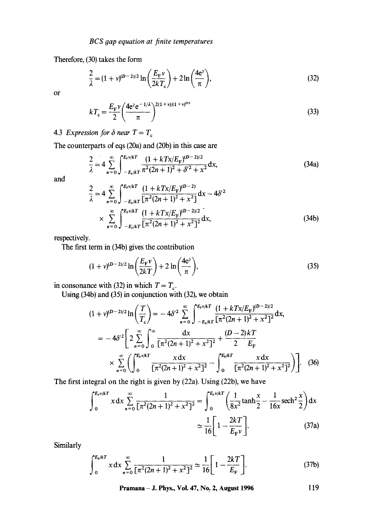Therefore, (30) takes the form

$$
\frac{2}{\lambda} = (1 + v)^{(D-2)/2} \ln \left( \frac{E_{\rm F} v}{2kT_{\rm c}} \right) + 2 \ln \left( \frac{4e^{\gamma}}{\pi} \right),\tag{32}
$$

or

$$
kT_{\rm c} = \frac{E_{\rm F}v}{2} \left(\frac{4{\rm e}v{\rm e}^{-1/\lambda}}{\pi}\right)^{2(1+v)/(1+v)^{p/2}}
$$
(33)

4.3 *Expression for*  $\delta$  *near*  $T = T_e$ 

The counterparts of eqs (20a) and (20b) in this case are

$$
\frac{2}{\lambda} = 4 \sum_{n=0}^{\infty} \int_{-E_{\rm F}/kT}^{E_{\rm F}v/kT} \frac{(1 + kT x/E_{\rm F})^{(D-2)/2}}{\pi^2 (2n+1)^2 + \delta'^2 + x^2} dx,
$$
 (34a)

and

$$
\frac{2}{\lambda} = 4 \sum_{n=0}^{\infty} \int_{-E_{\rm F}/kT}^{E_{\rm F}v/kT} \frac{(1 + kTx/E_{\rm F})^{(D-2)}}{\left[\pi^2 (2n + 1)^2 + x^2\right]} dx - 4\delta'^2
$$
\n
$$
\times \sum_{n=0}^{\infty} \int_{-E_{\rm F}/kT}^{E_{\rm F}v/kT} \frac{(1 + kTx/E_{\rm F})^{(D-2)/2}}{\left[\pi^2 (2n + 1)^2 + x^2\right]^2} dx,
$$
\n(34b)

respectively.

The first term in (34b) gives the contribution

$$
(1+\nu)^{(\mathbf{D}-2)/2}\ln\bigg(\frac{E_{\mathbf{F}}\nu}{2kT}\bigg)+2\ln\bigg(\frac{4\mathbf{e}^{\gamma}}{\pi}\bigg),\tag{35}
$$

in consonance with (32) in which  $T = T_c$ .

Using (34b) and (35) in conjunction with (32), we obtain

$$
(1 + v)^{(D-2)/2} \ln\left(\frac{T}{T_c}\right) = -4\delta'^2 \sum_{n=0}^{\infty} \int_{-E_r/kT}^{E_r \sqrt{kT}} \frac{(1 + kTx/E_F)^{(D-2)/2}}{\left[\pi^2 (2n+1)^2 + x^2\right]^2} dx,
$$
  
=  $-4\delta'^2 \left[2 \sum_{n=0}^{\infty} \int_{0}^{\infty} \frac{dx}{\left[\pi^2 (2n+1)^2 + x^2\right]^2} + \frac{(D-2)kT}{2E_F} \right]$   
 $\times \sum_{n=0}^{\infty} \left(\int_{0}^{E_r \sqrt{kT}} \frac{x dx}{\left[\pi^2 (2n+1)^2 + x^2\right]^2} - \int_{0}^{E_r/kT} \frac{x dx}{\left[\pi^2 (2n+1)^2 + x^2\right]^2}\right).$  (36)

The first integral on the right is given by (22a). Using (22b), we have

$$
\int_0^{E_v v/kT} x \, dx \sum_{n=0}^{\infty} \frac{1}{[\pi^2 (2n+1)^2 + x^2]^2} = \int_0^{E_v v/kT} \left( \frac{1}{8x^2} \tanh \frac{x}{2} - \frac{1}{16x} \operatorname{sech}^2 \frac{x}{2} \right) dx
$$

$$
\approx \frac{1}{16} \left[ 1 - \frac{2kT}{E_F v} \right].
$$
(37a)

Similarly

$$
\int_0^{E_{\rm f}/kT} x \, dx \sum_{n=0}^{\infty} \frac{1}{\left[\pi^2 (2n+1)^2 + x^2\right]^2} \simeq \frac{1}{16} \left[1 - \frac{2kT}{E_{\rm F}}\right].\tag{37b}
$$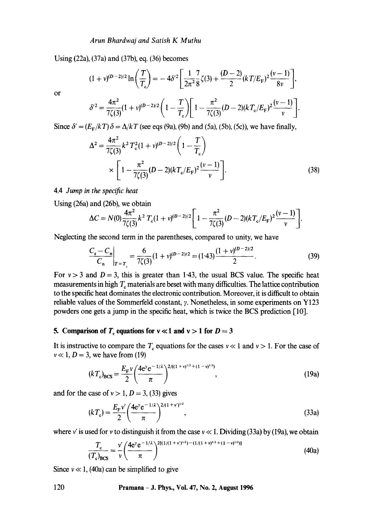Using (223), (37a) and (37b), eq. (36) becomes

$$
(1+\nu)^{(D-2)/2}\ln\bigg(\frac{T}{T_c}\bigg)=-4\delta'^2\bigg[\frac{1}{2\pi^2}\frac{7}{8}\zeta(3)+\frac{(D-2)}{2}(kT/E_F)^2\frac{(\nu-1)}{8\nu}\bigg],
$$

or

$$
\delta'^2 = \frac{4\pi^2}{7\zeta(3)}(1+\nu)^{(D-2)/2}\bigg(1-\frac{T}{T_c}\bigg)\bigg[1-\frac{\pi^2}{7\zeta(3)}(D-2)(kT_c/E_F)^2\frac{(\nu-1)}{\nu}\bigg].
$$

Since  $\delta' = (E_F/kT) \delta = \Delta/kT$  (see eqs (9a), (9b) and (5a), (5b), (5c)), we have finally,

$$
\Delta^{2} = \frac{4\pi^{2}}{7\zeta(3)} k^{2} T_{c}^{2} (1 + v)^{(D-2)/2} \left( 1 - \frac{T}{T_{c}} \right)
$$
  
 
$$
\times \left[ 1 - \frac{\pi^{2}}{7\zeta(3)} (D-2)(kT_{c}/E_{F})^{2} \frac{(v-1)}{v} \right].
$$
 (38)

# 4.4 *Jump in the specific heat*

Using (26a) and (26b), we obtain

$$
\Delta C = N(0) \frac{4\pi^2}{7\zeta(3)} k^2 T_c (1+v)^{(D-2)/2} \left[ 1 - \frac{\pi^2}{7\zeta(3)} (D-2)(kT_c/E_F)^2 \frac{(v-1)}{v} \right].
$$

Neglecting the second term in the parentheses, compared to unity, we have

$$
\left. \frac{C_s - C_n}{C_n} \right|_{T = T_c} = \frac{6}{7\zeta(3)} (1 + v)^{(D-2)/2} = (1 \cdot 43) \frac{(1 + v)^{(D-2)/2}}{2}.
$$
 (39)

For  $v > 3$  and  $D = 3$ , this is greater than 1.43, the usual BCS value. The specific heat measurements in high  $T_c$  materials are beset with many difficulties. The lattice contribution to the specific heat dominates the electronic contribution. Moreover, it is difficult to obtain reliable values of the Sommerfeld constant,  $\gamma$ . Nonetheless, in some experiments on Y123 powders one gets a jump in the specific heat, which is twice the BCS prediction [10].

#### **5. Comparison of T<sub>c</sub> equations for**  $v \ll 1$  **and**  $v > 1$  **for**  $D = 3$

It is instructive to compare the  $T_c$  equations for the cases  $v \ll 1$  and  $v > 1$ . For the case of  $v \ll 1$ ,  $D = 3$ , we have from (19)

$$
(kT_c)_{\text{BCS}} = \frac{E_{\text{F}}\nu}{2} \left(\frac{4e^{\nu}e^{-1/\lambda}}{\pi}\right)^{2/((1+\nu)^{1/2}+(1-\nu)^{1/2})},\tag{19a}
$$

and for the case of  $v > 1$ ,  $D = 3$ , (33) gives

$$
(kT_c) = \frac{E_{\rm F}v'}{2} \left(\frac{4e^{\gamma}e^{-1/\lambda}}{\pi}\right)^{2/(1+v')^{1/2}},
$$
\n(33a)

where v' is used for v to distinguish it from the case  $v \ll 1$ . Dividing (33a) by (19a), we obtain

$$
\frac{T_c}{(T_c)_{BCS}} = \frac{v'}{v} \left( \frac{4e^v e^{-1/\lambda}}{\pi} \right)^{2[(1/(1+v')^{1/2}) - (1/(1+v)^{1/2} + (1-v)^{1/2})]} \tag{40a}
$$

Since  $v \ll 1$ , (40a) can be simplified to give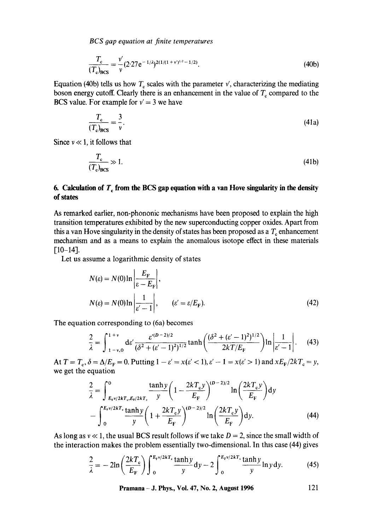*BCS 9ap equation at finite temperatures* 

$$
\frac{T_c}{(T_c)_{\text{BCS}}} = \frac{v'}{v} (2.27 e^{-1/\lambda})^{2(1/(1+v')^{1/2} - 1/2)}.
$$
\n(40b)

Equation (40b) tells us how  $T_c$  scales with the parameter  $v'$ , characterizing the mediating boson energy cutoff. Clearly there is an enhancement in the value of  $T_c$  compared to the BCS value. For example for  $v' = 3$  we have

$$
\frac{T_c}{(T_c)_{\text{BCS}}} = \frac{3}{v}.
$$
\n(41a)

Since  $v \ll 1$ , it follows that

$$
\frac{T_c}{(T_c)_{BCS}} \gg 1. \tag{41b}
$$

# **6. Calculation of**  $T_c$  **from the BCS gap equation with a van Hove singularity in the density of states**

As remarked earlier, non-phononic mechanisms have been proposed to explain the high transition temperatures exhibited by the new superconducting copper oxides. Apart from this a van Hove singularity in the density of states has been proposed as a  $T<sub>c</sub>$  enhancement mechanism and as a means to explain the anomalous isotope effect in these materials  $[10-14]$ .

Let us assume a logarithmic density of states

$$
N(\varepsilon) = N(0) \ln \left| \frac{E_{\rm F}}{\varepsilon - E_{\rm F}} \right|,
$$
  

$$
N(\varepsilon) = N(0) \ln \left| \frac{1}{\varepsilon' - 1} \right|, \qquad (\varepsilon' = \varepsilon / E_{\rm F}).
$$
 (42)

The equation corresponding to (6a) becomes

$$
\frac{2}{\lambda} = \int_{1-v,0}^{1+v} \mathrm{d}\epsilon' \frac{\epsilon'^{(D-2)/2}}{(\delta^2 + (\epsilon'-1)^2)^{1/2}} \tanh\left(\frac{(\delta^2 + (\epsilon'-1)^2)^{1/2}}{2kT/E_F}\right) \ln\left|\frac{1}{\epsilon'-1}\right|.
$$
 (43)

At  $T = T_c$ ,  $\delta = \Delta/E_F = 0$ . Putting  $1 - \varepsilon' = x(\varepsilon' < 1)$ ,  $\varepsilon' - 1 = x(\varepsilon' > 1)$  and  $xE_F/2kT_c = y$ , we get the equation

$$
\frac{2}{\lambda} = \int_{E_{\rm F}v/2kT_{\rm e},E_{\rm F}/2kT_{\rm e}}^0 \frac{\tanh y}{y} \left(1 - \frac{2kT_{\rm e}y}{E_{\rm F}}\right)^{(D-2)/2} \ln\left(\frac{2kT_{\rm e}y}{E_{\rm F}}\right) dy
$$

$$
- \int_0^{E_{\rm F}v/2kT_{\rm e}} \frac{\tanh y}{y} \left(1 + \frac{2kT_{\rm e}y}{E_{\rm F}}\right)^{(D-2)/2} \ln\left(\frac{2kT_{\rm e}y}{E_{\rm F}}\right) dy.
$$
(44)

As long as  $v \ll 1$ , the usual BCS result follows if we take  $D = 2$ , since the small width of the interaction makes the problem essentially two-dimensional. In this case (44) gives

$$
\frac{2}{\lambda} = -2\ln\left(\frac{2kT_e}{E_F}\right)\int_0^{E_{\rm F}v/2kT_e} \frac{\tanh y}{y} \, \mathrm{d}y - 2\int_0^{E_{\rm F}v/2kT_e} \frac{\tanh y}{y} \ln y \, \mathrm{d}y. \tag{45}
$$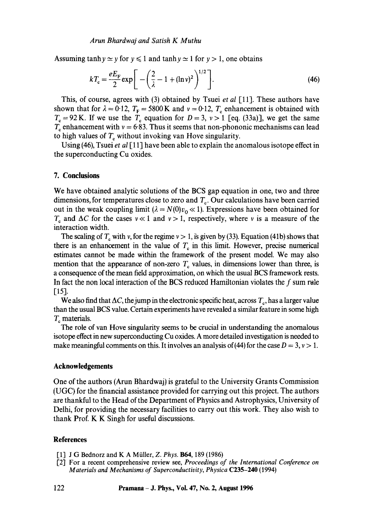Assuming tanh  $y \approx y$  for  $y \le 1$  and tanh  $y \approx 1$  for  $y > 1$ , one obtains

$$
kT_{\rm c} = \frac{eE_{\rm F}}{2} \exp\bigg[ -\bigg(\frac{2}{\lambda} - 1 + (\ln v)^2\bigg)^{1/2} \bigg].
$$
 (46)

This, of course, agrees with (3) obtained by Tsuei *et al* [11]. These authors have shown that for  $\lambda = 0.12$ ,  $T_F = 5800$  K and  $v = 0.12$ ,  $T_c$  enhancement is obtained with  $T_c = 92$  K. If we use the  $T_c$  equation for  $D = 3$ ,  $v > 1$  [eq. (33a)], we get the same  $T_c$  enhancement with  $v = 6.83$ . Thus it seems that non-phononic mechanisms can lead to high values of  $T_c$  without invoking van Hove singularity.

Using (46), Tsuei *et al* [11] have been able to explain the anomalous isotope effect in the superconducting Cu oxides.

### **7. Conclusions**

We have obtained analytic solutions of the BCS gap equation in one, two and three dimensions, for temperatures close to zero and  $T_c$ . Our calculations have been carried out in the weak coupling limit  $(\lambda = N(0)v_0 \ll 1)$ . Expressions have been obtained for  $T_c$  and  $\Delta C$  for the cases  $v \ll 1$  and  $v > 1$ , respectively, where v is a measure of the interaction width.

The scaling of  $T_c$  with v, for the regime  $v > 1$ , is given by (33). Equation (41b) shows that there is an enhancement in the value of  $T<sub>c</sub>$  in this limit. However, precise numerical estimates cannot be made within the framework of the present model. We may also mention that the appearance of non-zero  $T_c$  values, in dimensions lower than three, is a consequence of the mean field approximation, on which the usual BCS framework rests. In fact the non local interaction of the BCS reduced Hamiltonian violates the  $f$  sum rule  $[15]$ .

We also find that  $\Delta C$ , the jump in the electronic specific heat, across  $T_e$ , has a larger value than the usual BCS value. Certain experiments have revealed a similar feature in some high  $T_c$  materials.

The role of van Hove singularity seems to be crucial in understanding the anomalous isotope effect in new superconducting Cu oxides. A more detailed investigation is needed to make meaningful comments on this. It involves an analysis of (44) for the case  $D = 3$ ,  $v > 1$ .

#### **Acknowledgements**

One of the authors (Arun Bhardwaj) is grateful to the University Grants Commission (UGC) for the financial assistance provided for carrying out this project. The authors are thankful to the Head of the Department of Physics and Astrophysics, University of Delhi, for providing the necessary facilities to carry out this work. They also wish to thank Prof. K K Singh for useful discussions.

## **References**

- [1] J G Bednorz and K A Miiller, *Z. Phys.* B64, 189 (1986)
- [2] For a recent comprehensive review see, *Proceedinos of the International Conference on Materials and Mechanisms of Superconductivity, Ph ysica* C235-240 (1994)